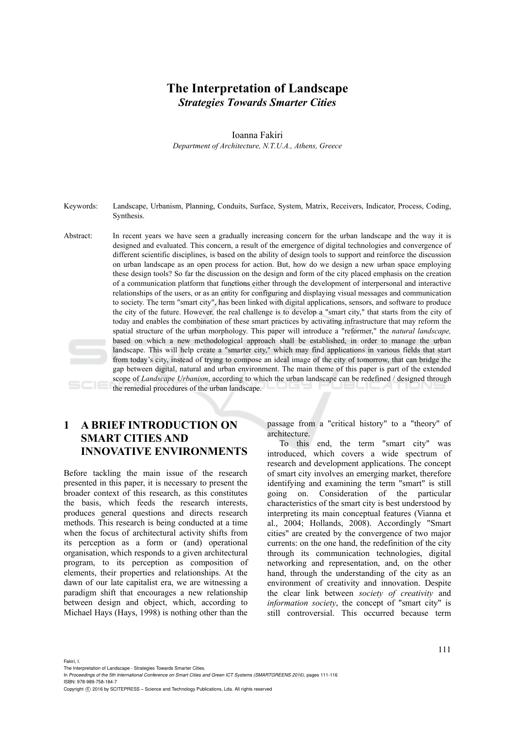# **The Interpretation of Landscape**  *Strategies Towards Smarter Cities*

Ioanna Fakiri

*Department of Architecture, N.T.U.A., Athens, Greece* 

- Κeywords: Landscape, Urbanism, Planning, Conduits, Surface, System, Matrix, Receivers, Indicator, Process, Coding, Synthesis.
- Abstract: In recent years we have seen a gradually increasing concern for the urban landscape and the way it is designed and evaluated. This concern, a result of the emergence of digital technologies and convergence of different scientific disciplines, is based on the ability of design tools to support and reinforce the discussion on urban landscape as an open process for action. But, how do we design a new urban space employing these design tools? So far the discussion on the design and form of the city placed emphasis on the creation of a communication platform that functions either through the development of interpersonal and interactive relationships of the users, or as an entity for configuring and displaying visual messages and communication to society. The term "smart city", has been linked with digital applications, sensors, and software to produce the city of the future. However, the real challenge is to develop a "smart city," that starts from the city of today and enables the combination of these smart practices by activating infrastructure that may reform the spatial structure of the urban morphology. This paper will introduce a "reformer," the *natural landscape,* based on which a new methodological approach shall be established, in order to manage the urban landscape. This will help create a "smarter city," which may find applications in various fields that start from today's city, instead of trying to compose an ideal image of the city of tomorrow, that can bridge the gap between digital, natural and urban environment. The main theme of this paper is part of the extended scope of *Landscape Urbanism*, according to which the urban landscape can be redefined / designed through the remedial procedures of the urban landscape.

# **1 A BRIEF INTRODUCTION ON SMART CITIES AND INNOVATIVE ENVIRONMENTS**

Before tackling the main issue of the research presented in this paper, it is necessary to present the broader context of this research, as this constitutes the basis, which feeds the research interests, produces general questions and directs research methods. This research is being conducted at a time when the focus of architectural activity shifts from its perception as a form or (and) operational organisation, which responds to a given architectural program, to its perception as composition of elements, their properties and relationships. At the dawn of our late capitalist era, we are witnessing a paradigm shift that encourages a new relationship between design and object, which, according to Michael Hays (Hays, 1998) is nothing other than the

passage from a "critical history" to a "theory" of architecture.

To this end, the term "smart city" was introduced, which covers a wide spectrum of research and development applications. The concept of smart city involves an emerging market, therefore identifying and examining the term "smart" is still going on. Consideration of the particular characteristics of the smart city is best understood by interpreting its main conceptual features (Vianna et al., 2004; Hollands, 2008). Accordingly "Smart cities" are created by the convergence of two major currents: on the one hand, the redefinition of the city through its communication technologies, digital networking and representation, and, on the other hand, through the understanding of the city as an environment of creativity and innovation. Despite the clear link between *society of creativity* and *information society*, the concept of "smart city" is still controversial. This occurred because term

Fakiri, I.

The Interpretation of Landscape - Strategies Towards Smarter Cities.

In *Proceedings of the 5th International Conference on Smart Cities and Green ICT Systems (SMARTGREENS 2016)*, pages 111-116 ISBN: 978-989-758-184-7

Copyright (C) 2016 by SCITEPRESS - Science and Technology Publications, Lda. All rights reserved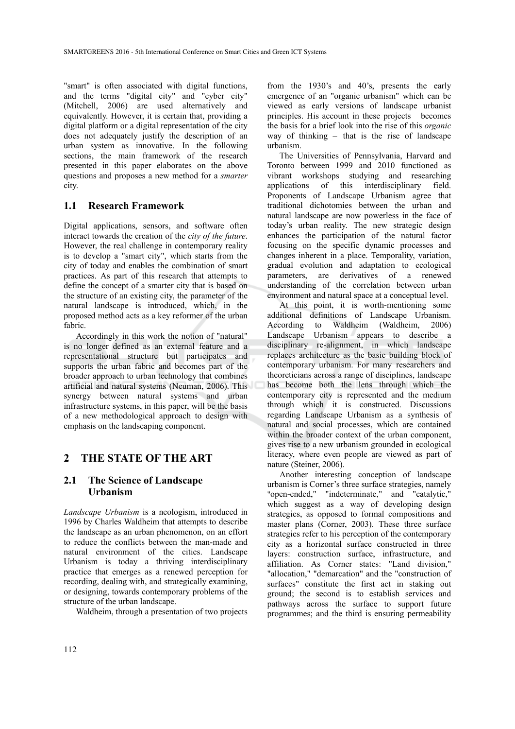"smart" is often associated with digital functions, and the terms "digital city" and "cyber city" (Mitchell, 2006) are used alternatively and equivalently. However, it is certain that, providing a digital platform or a digital representation of the city does not adequately justify the description of an urban system as innovative. In the following sections, the main framework of the research presented in this paper elaborates on the above questions and proposes a new method for a *smarter* city.

### **1.1 Research Framework**

Digital applications, sensors, and software often interact towards the creation of the *city of the future*. However, the real challenge in contemporary reality is to develop a "smart city", which starts from the city of today and enables the combination of smart practices. As part of this research that attempts to define the concept of a smarter city that is based on the structure of an existing city, the parameter of the natural landscape is introduced, which, in the proposed method acts as a key reformer of the urban fabric.

Accordingly in this work the notion of "natural" is no longer defined as an external feature and a representational structure but participates and supports the urban fabric and becomes part of the broader approach to urban technology that combines artificial and natural systems (Νeuman, 2006). This synergy between natural systems and urban infrastructure systems, in this paper, will be the basis of a new methodological approach to design with emphasis on the landscaping component.

## **2 THE STATE OF THE ART**

## **2.1 The Science of Landscape Urbanism**

*Landscape Urbanism* is a neologism, introduced in 1996 by Charles Waldheim that attempts to describe the landscape as an urban phenomenon, on an effort to reduce the conflicts between the man-made and natural environment of the cities. Landscape Urbanism is today a thriving interdisciplinary practice that emerges as a renewed perception for recording, dealing with, and strategically examining, or designing, towards contemporary problems of the structure of the urban landscape.

Waldheim, through a presentation of two projects

from the 1930's and 40's, presents the early emergence of an "organic urbanism" which can be viewed as early versions of landscape urbanist principles. His account in these projects becomes the basis for a brief look into the rise of this *organic* way of thinking – that is the rise of landscape urbanism.

The Universities of Pennsylvania, Harvard and Toronto between 1999 and 2010 functioned as vibrant workshops studying and researching applications of this interdisciplinary field. Proponents of Landscape Urbanism agree that traditional dichotomies between the urban and natural landscape are now powerless in the face of today's urban reality. The new strategic design enhances the participation of the natural factor focusing on the specific dynamic processes and changes inherent in a place. Temporality, variation, gradual evolution and adaptation to ecological parameters, are derivatives of a renewed understanding of the correlation between urban environment and natural space at a conceptual level.

At this point, it is worth-mentioning some additional definitions of Landscape Urbanism. According to Waldheim (Waldheim, 2006) Landscape Urbanism appears to describe a disciplinary re-alignment, in which landscape replaces architecture as the basic building block of contemporary urbanism. For many researchers and theoreticians across a range of disciplines, landscape has become both the lens through which the contemporary city is represented and the medium through which it is constructed. Discussions regarding Landscape Urbanism as a synthesis of natural and social processes, which are contained within the broader context of the urban component, gives rise to a new urbanism grounded in ecological literacy, where even people are viewed as part of nature (Steiner, 2006).

Another interesting conception of landscape urbanism is Corner's three surface strategies, namely "open-ended," "indeterminate," and "catalytic," which suggest as a way of developing design strategies, as opposed to formal compositions and master plans (Corner, 2003). These three surface strategies refer to his perception of the contemporary city as a horizontal surface constructed in three layers: construction surface, infrastructure, and affiliation. As Corner states: "Land division," "allocation," "demarcation" and the "construction of surfaces" constitute the first act in staking out ground; the second is to establish services and pathways across the surface to support future programmes; and the third is ensuring permeability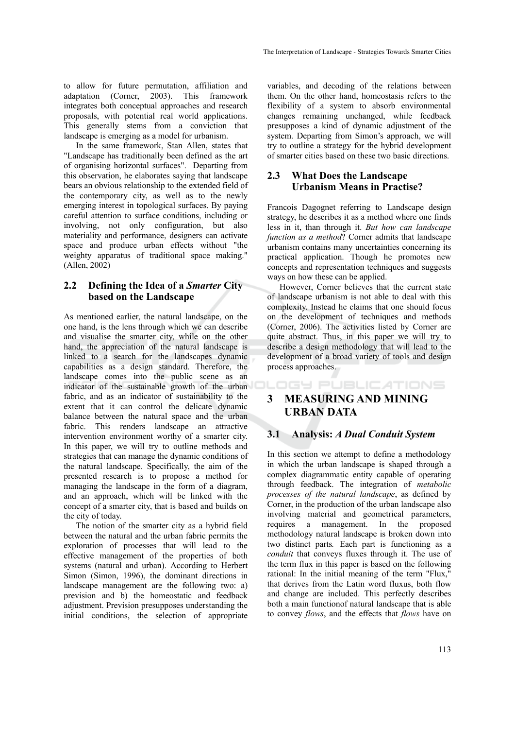to allow for future permutation, affiliation and adaptation (Corner, 2003). This framework integrates both conceptual approaches and research proposals, with potential real world applications. This generally stems from a conviction that landscape is emerging as a model for urbanism.

In the same framework, Stan Allen, states that "Landscape has traditionally been defined as the art of organising horizontal surfaces". Departing from this observation, he elaborates saying that landscape bears an obvious relationship to the extended field of the contemporary city, as well as to the newly emerging interest in topological surfaces. By paying careful attention to surface conditions, including or involving, not only configuration, but also materiality and performance, designers can activate space and produce urban effects without "the weighty apparatus of traditional space making." (Allen, 2002)

## **2.2 Defining the Idea of a** *Smarter* **City based on the Landscape**

As mentioned earlier, the natural landscape, on the one hand, is the lens through which we can describe and visualise the smarter city, while on the other hand, the appreciation of the natural landscape is linked to a search for the landscapes dynamic capabilities as a design standard. Therefore, the landscape comes into the public scene as an indicator of the sustainable growth of the urban fabric, and as an indicator of sustainability to the extent that it can control the delicate dynamic balance between the natural space and the urban fabric. This renders landscape an attractive intervention environment worthy of a smarter city. In this paper, we will try to outline methods and strategies that can manage the dynamic conditions of the natural landscape. Specifically, the aim of the presented research is to propose a method for managing the landscape in the form of a diagram, and an approach, which will be linked with the concept of a smarter city, that is based and builds on the city of today.

The notion of the smarter city as a hybrid field between the natural and the urban fabric permits the exploration of processes that will lead to the effective management of the properties of both systems (natural and urban). According to Herbert Simon (Simon, 1996), the dominant directions in landscape management are the following two: a) prevision and b) the homeostatic and feedback adjustment. Prevision presupposes understanding the initial conditions, the selection of appropriate

variables, and decoding of the relations between them. On the other hand, homeostasis refers to the flexibility of a system to absorb environmental changes remaining unchanged, while feedback presupposes a kind of dynamic adjustment of the system. Departing from Simon's approach, we will try to outline a strategy for the hybrid development of smarter cities based on these two basic directions.

# **2.3 What Does the Landscape Urbanism Means in Practise?**

Francois Dagognet referring to Landscape design strategy, he describes it as a method where one finds less in it, than through it. *But how can landscape function as a method*? Corner admits that landscape urbanism contains many uncertainties concerning its practical application. Though he promotes new concepts and representation techniques and suggests ways on how these can be applied.

However, Corner believes that the current state of landscape urbanism is not able to deal with this complexity. Instead he claims that one should focus on the development of techniques and methods (Corner, 2006). The activities listed by Corner are quite abstract. Thus, in this paper we will try to describe a design methodology that will lead to the development of a broad variety of tools and design process approaches.

# **3 MEASURING AND MINING URBAN DATA**

LOGY PUBLICATIONS

## **3.1 Analysis:** *A Dual Conduit System*

In this section we attempt to define a methodology in which the urban landscape is shaped through a complex diagrammatic entity capable of operating through feedback. The integration of *metabolic processes of the natural landscape*, as defined by Corner, in the production of the urban landscape also involving material and geometrical parameters, requires a management. In the proposed methodology natural landscape is broken down into two distinct parts*.* Each part is functioning as a *conduit* that conveys fluxes through it. The use of the term flux in this paper is based on the following rational: In the initial meaning of the term "Flux," that derives from the Latin word fluxus, both flow and change are included. This perfectly describes both a main functionof natural landscape that is able to convey *flows*, and the effects that *flows* have on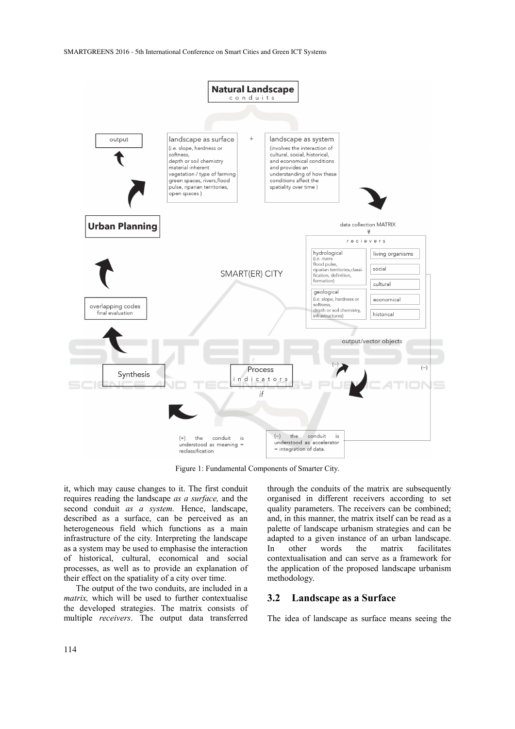SMARTGREENS 2016 - 5th International Conference on Smart Cities and Green ICT Systems



Figure 1: Fundamental Components of Smarter City.

it, which may cause changes to it. The first conduit requires reading the landscape *as a surface,* and the second conduit *as a system.* Hence, landscape, described as a surface, can be perceived as an heterogeneous field which functions as a main infrastructure of the city. Interpreting the landscape as a system may be used to emphasise the interaction of historical, cultural, economical and social processes, as well as to provide an explanation of their effect on the spatiality of a city over time.

The output of the two conduits, are included in a *matrix,* which will be used to further contextualise the developed strategies. The matrix consists of multiple *receivers*. The output data transferred

through the conduits of the matrix are subsequently organised in different receivers according to set quality parameters. The receivers can be combined; and, in this manner, the matrix itself can be read as a palette of landscape urbanism strategies and can be adapted to a given instance of an urban landscape. In other words the matrix facilitates contextualisation and can serve as a framework for the application of the proposed landscape urbanism methodology.

### **3.2 Landscape as a Surface**

The idea of landscape as surface means seeing the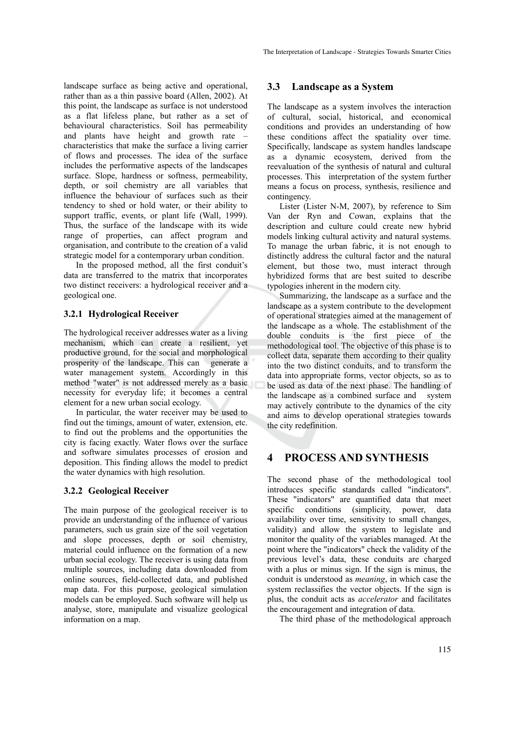landscape surface as being active and operational, rather than as a thin passive board (Allen, 2002). At this point, the landscape as surface is not understood as a flat lifeless plane, but rather as a set of behavioural characteristics. Soil has permeability and plants have height and growth rate – characteristics that make the surface a living carrier of flows and processes. The idea of the surface includes the performative aspects of the landscapes surface. Slope, hardness or softness, permeability, depth, or soil chemistry are all variables that influence the behaviour of surfaces such as their tendency to shed or hold water, or their ability to support traffic, events, or plant life (Wall, 1999). Thus, the surface of the landscape with its wide range of properties, can affect program and organisation, and contribute to the creation of a valid strategic model for a contemporary urban condition.

In the proposed method, all the first conduit's data are transferred to the matrix that incorporates two distinct receivers: a hydrological receiver and a geological one.

### **3.2.1 Hydrological Receiver**

The hydrological receiver addresses water as a living mechanism, which can create a resilient, yet productive ground, for the social and morphological prosperity of the landscape. This can generate a water management system. Accordingly in this method "water" is not addressed merely as a basic necessity for everyday life; it becomes a central element for a new urban social ecology.

In particular, the water receiver may be used to find out the timings, amount of water, extension, etc. to find out the problems and the opportunities the city is facing exactly. Water flows over the surface and software simulates processes of erosion and deposition. This finding allows the model to predict the water dynamics with high resolution.

#### **3.2.2 Geological Receiver**

The main purpose of the geological receiver is to provide an understanding of the influence of various parameters, such us grain size of the soil vegetation and slope processes, depth or soil chemistry, material could influence on the formation of a new urban social ecology. The receiver is using data from multiple sources, including data downloaded from online sources, field-collected data, and published map data. For this purpose, geological simulation models can be employed. Such software will help us analyse, store, manipulate and visualize geological information on a map.

### **3.3 Landscape as a System**

The landscape as a system involves the interaction of cultural, social, historical, and economical conditions and provides an understanding of how these conditions affect the spatiality over time. Specifically, landscape as system handles landscape as a dynamic ecosystem, derived from the reevaluation of the synthesis of natural and cultural processes. This interpretation of the system further means a focus on process, synthesis, resilience and contingency.

Lister (Lister N-M, 2007), by reference to Sim Van der Ryn and Cowan, explains that the description and culture could create new hybrid models linking cultural activity and natural systems. To manage the urban fabric, it is not enough to distinctly address the cultural factor and the natural element, but those two, must interact through hybridized forms that are best suited to describe typologies inherent in the modern city.

Summarizing, the landscape as a surface and the landscape as a system contribute to the development of operational strategies aimed at the management of the landscape as a whole. The establishment of the double conduits is the first piece of the methodological tool. The objective of this phase is to collect data, separate them according to their quality into the two distinct conduits, and to transform the data into appropriate forms, vector objects, so as to be used as data of the next phase. The handling of the landscape as a combined surface and system may actively contribute to the dynamics of the city and aims to develop operational strategies towards the city redefinition.

# **4 PROCESS AND SYNTHESIS**

The second phase of the methodological tool introduces specific standards called "indicators". These "indicators" are quantified data that meet specific conditions (simplicity, power, data availability over time, sensitivity to small changes, validity) and allow the system to legislate and monitor the quality of the variables managed. At the point where the "indicators" check the validity of the previous level's data, these conduits are charged with a plus or minus sign. If the sign is minus, the conduit is understood as *meaning*, in which case the system reclassifies the vector objects. If the sign is plus, the conduit acts as *accelerator* and facilitates the encouragement and integration of data.

The third phase of the methodological approach